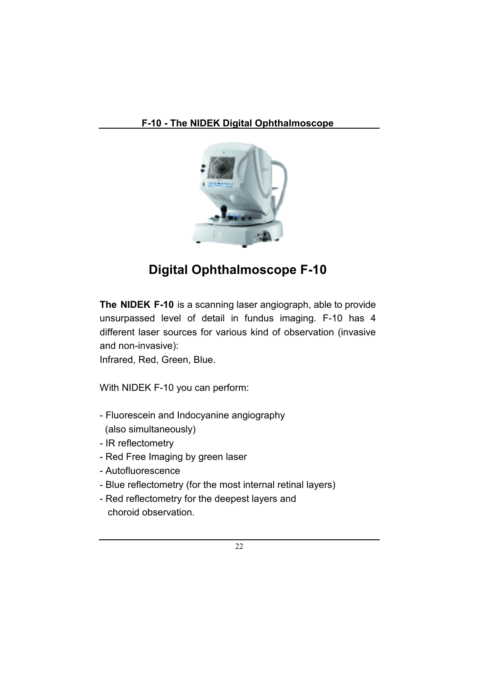

# **Digital Ophthalmoscope F-10**

**The NIDEK F-10** is a scanning laser angiograph, able to provide unsurpassed level of detail in fundus imaging. F-10 has 4 different laser sources for various kind of observation (invasive and non-invasive):

Infrared, Red, Green, Blue.

With NIDEK F-10 you can perform:

- Fluorescein and Indocyanine angiography (also simultaneously)
- IR reflectometry
- Red Free Imaging by green laser
- Autofluorescence
- Blue reflectometry (for the most internal retinal layers)
- Red reflectometry for the deepest layers and choroid observation.

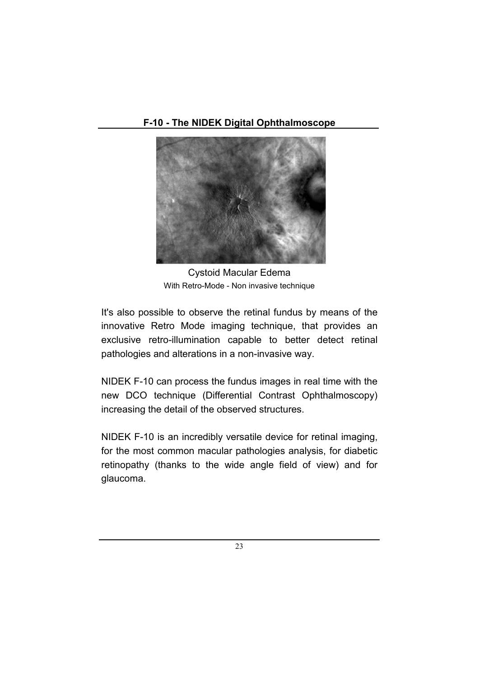**F-10 - The NIDEK Digital Ophthalmoscope** 



Cystoid Macular Edema With Retro-Mode - Non invasive technique

It's also possible to observe the retinal fundus by means of the innovative Retro Mode imaging technique, that provides an exclusive retro-illumination capable to better detect retinal pathologies and alterations in a non-invasive way.

NIDEK F-10 can process the fundus images in real time with the new DCO technique (Differential Contrast Ophthalmoscopy) increasing the detail of the observed structures.

NIDEK F-10 is an incredibly versatile device for retinal imaging, for the most common macular pathologies analysis, for diabetic retinopathy (thanks to the wide angle field of view) and for glaucoma.

23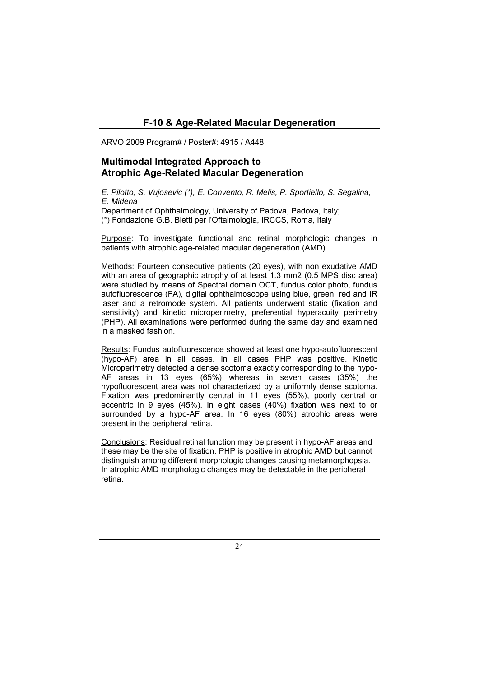# **F-10 & Age-Related Macular Degeneration**

ARVO 2009 Program# / Poster#: 4915 / A448

### **Multimodal Integrated Approach to Atrophic Age-Related Macular Degeneration**

*E. Pilotto, S. Vujosevic (\*), E. Convento, R. Melis, P. Sportiello, S. Segalina, E. Midena* 

Department of Ophthalmology, University of Padova, Padova, Italy; (\*) Fondazione G.B. Bietti per l'Oftalmologia, IRCCS, Roma, Italy

Purpose: To investigate functional and retinal morphologic changes in patients with atrophic age-related macular degeneration (AMD).

Methods: Fourteen consecutive patients (20 eyes), with non exudative AMD with an area of geographic atrophy of at least 1.3 mm2 (0.5 MPS disc area) were studied by means of Spectral domain OCT, fundus color photo, fundus autofluorescence (FA), digital ophthalmoscope using blue, green, red and IR laser and a retromode system. All patients underwent static (fixation and sensitivity) and kinetic microperimetry, preferential hyperacuity perimetry (PHP). All examinations were performed during the same day and examined in a masked fashion.

Results: Fundus autofluorescence showed at least one hypo-autofluorescent (hypo-AF) area in all cases. In all cases PHP was positive. Kinetic Microperimetry detected a dense scotoma exactly corresponding to the hypo-AF areas in 13 eyes (65%) whereas in seven cases (35%) the hypofluorescent area was not characterized by a uniformly dense scotoma. Fixation was predominantly central in 11 eyes (55%), poorly central or eccentric in 9 eyes (45%). In eight cases (40%) fixation was next to or surrounded by a hypo-AF area. In 16 eyes (80%) atrophic areas were present in the peripheral retina.

Conclusions: Residual retinal function may be present in hypo-AF areas and these may be the site of fixation. PHP is positive in atrophic AMD but cannot distinguish among different morphologic changes causing metamorphopsia. In atrophic AMD morphologic changes may be detectable in the peripheral retina.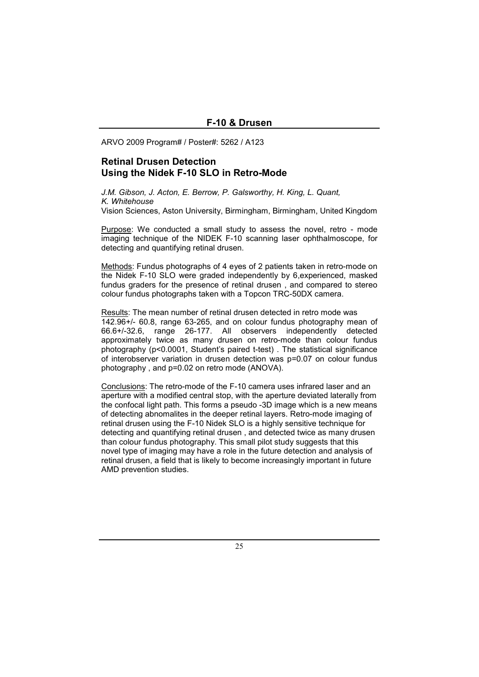ARVO 2009 Program# / Poster#: 5262 / A123

# **Retinal Drusen Detection Using the Nidek F-10 SLO in Retro-Mode**

*J.M. Gibson, J. Acton, E. Berrow, P. Galsworthy, H. King, L. Quant, K. Whitehouse*  Vision Sciences, Aston University, Birmingham, Birmingham, United Kingdom

Purpose: We conducted a small study to assess the novel, retro - mode imaging technique of the NIDEK F-10 scanning laser ophthalmoscope, for detecting and quantifying retinal drusen.

Methods: Fundus photographs of 4 eyes of 2 patients taken in retro-mode on the Nidek F-10 SLO were graded independently by 6,experienced, masked fundus graders for the presence of retinal drusen , and compared to stereo colour fundus photographs taken with a Topcon TRC-50DX camera.

Results: The mean number of retinal drusen detected in retro mode was  $\overline{142.96}$ +/- 60.8, range 63-265, and on colour fundus photography mean of 66.6+/-32.6, range 26-177. All observers independently detected approximately twice as many drusen on retro-mode than colour fundus photography (p<0.0001, Student's paired t-test) . The statistical significance of interobserver variation in drusen detection was p=0.07 on colour fundus photography , and p=0.02 on retro mode (ANOVA).

Conclusions: The retro-mode of the F-10 camera uses infrared laser and an aperture with a modified central stop, with the aperture deviated laterally from the confocal light path. This forms a pseudo -3D image which is a new means of detecting abnomalites in the deeper retinal layers. Retro-mode imaging of retinal drusen using the F-10 Nidek SLO is a highly sensitive technique for detecting and quantifying retinal drusen , and detected twice as many drusen than colour fundus photography. This small pilot study suggests that this novel type of imaging may have a role in the future detection and analysis of retinal drusen, a field that is likely to become increasingly important in future AMD prevention studies.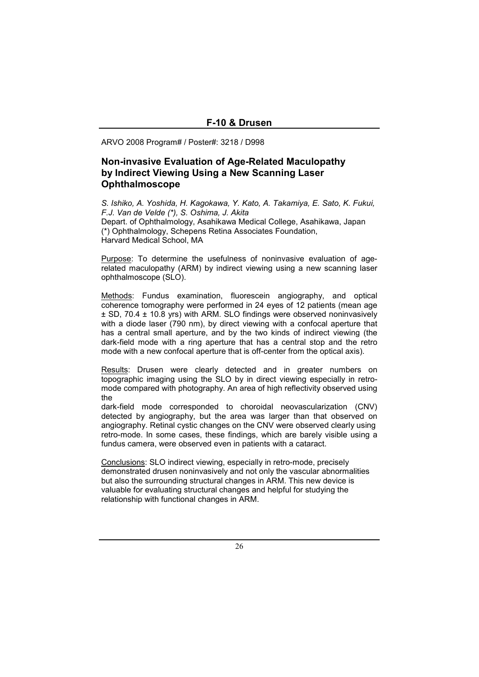ARVO 2008 Program# / Poster#: 3218 / D998

# **Non-invasive Evaluation of Age-Related Maculopathy by Indirect Viewing Using a New Scanning Laser Ophthalmoscope**

*S. Ishiko, A. Yoshida, H. Kagokawa, Y. Kato, A. Takamiya, E. Sato, K. Fukui, F.J. Van de Velde (\*), S. Oshima, J. Akita*  Depart. of Ophthalmology, Asahikawa Medical College, Asahikawa, Japan (\*) Ophthalmology, Schepens Retina Associates Foundation, Harvard Medical School, MA

Purpose: To determine the usefulness of noninvasive evaluation of agerelated maculopathy (ARM) by indirect viewing using a new scanning laser ophthalmoscope (SLO).

Methods: Fundus examination, fluorescein angiography, and optical coherence tomography were performed in 24 eyes of 12 patients (mean age ± SD, 70.4 ± 10.8 yrs) with ARM. SLO findings were observed noninvasively with a diode laser (790 nm), by direct viewing with a confocal aperture that has a central small aperture, and by the two kinds of indirect viewing (the dark-field mode with a ring aperture that has a central stop and the retro mode with a new confocal aperture that is off-center from the optical axis).

Results: Drusen were clearly detected and in greater numbers on topographic imaging using the SLO by in direct viewing especially in retromode compared with photography. An area of high reflectivity observed using the

dark-field mode corresponded to choroidal neovascularization (CNV) detected by angiography, but the area was larger than that observed on angiography. Retinal cystic changes on the CNV were observed clearly using retro-mode. In some cases, these findings, which are barely visible using a fundus camera, were observed even in patients with a cataract.

Conclusions: SLO indirect viewing, especially in retro-mode, precisely demonstrated drusen noninvasively and not only the vascular abnormalities but also the surrounding structural changes in ARM. This new device is valuable for evaluating structural changes and helpful for studying the relationship with functional changes in ARM.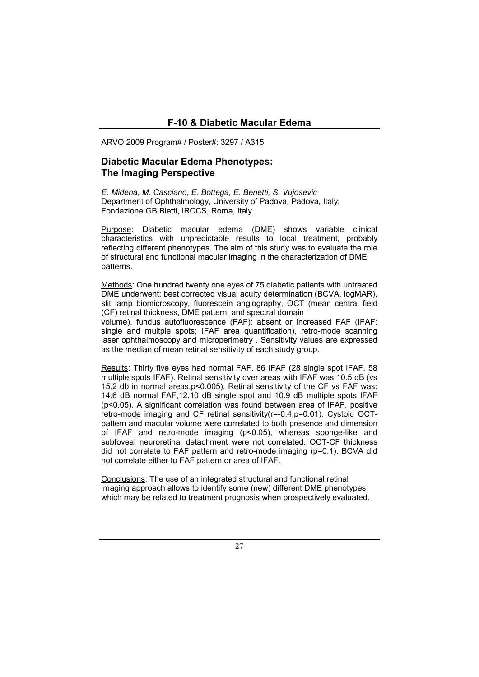ARVO 2009 Program# / Poster#: 3297 / A315

#### **Diabetic Macular Edema Phenotypes: The Imaging Perspective**

*E. Midena, M. Casciano, E. Bottega, E. Benetti, S. Vujosevic*  Department of Ophthalmology, University of Padova, Padova, Italy; Fondazione GB Bietti, IRCCS, Roma, Italy

Purpose: Diabetic macular edema (DME) shows variable clinical characteristics with unpredictable results to local treatment, probably reflecting different phenotypes. The aim of this study was to evaluate the role of structural and functional macular imaging in the characterization of DME patterns.

Methods: One hundred twenty one eyes of 75 diabetic patients with untreated DME underwent: best corrected visual acuity determination (BCVA, logMAR), slit lamp biomicroscopy, fluorescein angiography, OCT (mean central field (CF) retinal thickness, DME pattern, and spectral domain volume), fundus autofluorescence (FAF): absent or increased FAF (IFAF: single and multple spots; IFAF area quantification), retro-mode scanning laser ophthalmoscopy and microperimetry . Sensitivity values are expressed as the median of mean retinal sensitivity of each study group.

Results: Thirty five eyes had normal FAF, 86 IFAF (28 single spot IFAF, 58 multiple spots IFAF). Retinal sensitivity over areas with IFAF was 10.5 dB (vs 15.2 db in normal areas,p<0.005). Retinal sensitivity of the CF vs FAF was: 14.6 dB normal FAF,12.10 dB single spot and 10.9 dB multiple spots IFAF (p<0.05). A significant correlation was found between area of IFAF, positive retro-mode imaging and CF retinal sensitivity(r=-0.4,p=0.01). Cystoid OCTpattern and macular volume were correlated to both presence and dimension of IFAF and retro-mode imaging (p<0.05), whereas sponge-like and subfoveal neuroretinal detachment were not correlated. OCT-CF thickness did not correlate to FAF pattern and retro-mode imaging (p=0.1). BCVA did not correlate either to FAF pattern or area of IFAF.

Conclusions: The use of an integrated structural and functional retinal imaging approach allows to identify some (new) different DME phenotypes, which may be related to treatment prognosis when prospectively evaluated.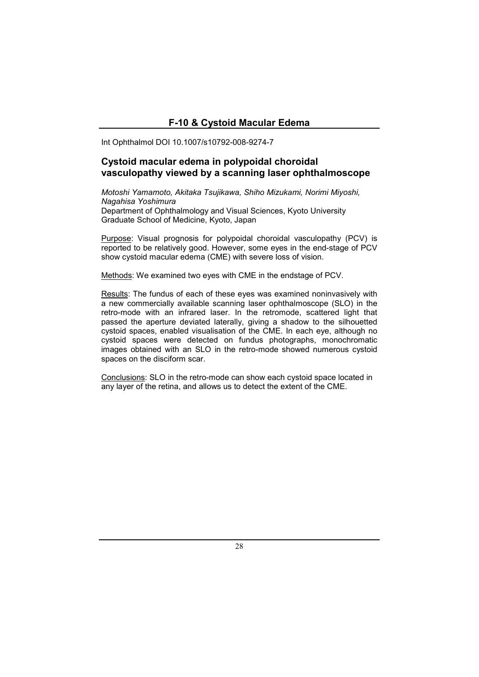# **F-10 & Cystoid Macular Edema**

Int Ophthalmol DOI 10.1007/s10792-008-9274-7

# **Cystoid macular edema in polypoidal choroidal vasculopathy viewed by a scanning laser ophthalmoscope**

*Motoshi Yamamoto, Akitaka Tsujikawa, Shiho Mizukami, Norimi Miyoshi, Nagahisa Yoshimura*  Department of Ophthalmology and Visual Sciences, Kyoto University Graduate School of Medicine, Kyoto, Japan

Purpose: Visual prognosis for polypoidal choroidal vasculopathy (PCV) is reported to be relatively good. However, some eyes in the end-stage of PCV show cystoid macular edema (CME) with severe loss of vision.

Methods: We examined two eyes with CME in the endstage of PCV.

Results: The fundus of each of these eyes was examined noninvasively with a new commercially available scanning laser ophthalmoscope (SLO) in the retro-mode with an infrared laser. In the retromode, scattered light that passed the aperture deviated laterally, giving a shadow to the silhouetted cystoid spaces, enabled visualisation of the CME. In each eye, although no cystoid spaces were detected on fundus photographs, monochromatic images obtained with an SLO in the retro-mode showed numerous cystoid spaces on the disciform scar.

Conclusions: SLO in the retro-mode can show each cystoid space located in any layer of the retina, and allows us to detect the extent of the CME.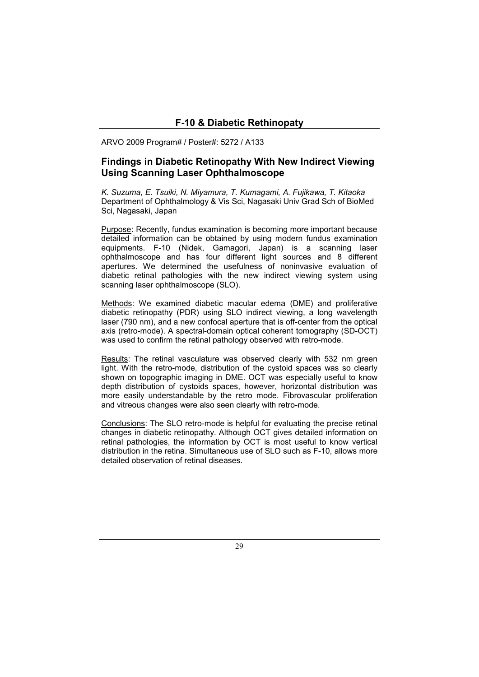ARVO 2009 Program# / Poster#: 5272 / A133

# **Findings in Diabetic Retinopathy With New Indirect Viewing Using Scanning Laser Ophthalmoscope**

*K. Suzuma, E. Tsuiki, N. Miyamura, T. Kumagami, A. Fujikawa, T. Kitaoka*  Department of Ophthalmology & Vis Sci, Nagasaki Univ Grad Sch of BioMed Sci, Nagasaki, Japan

Purpose: Recently, fundus examination is becoming more important because detailed information can be obtained by using modern fundus examination equipments. F-10 (Nidek, Gamagori, Japan) is a scanning laser ophthalmoscope and has four different light sources and 8 different apertures. We determined the usefulness of noninvasive evaluation of diabetic retinal pathologies with the new indirect viewing system using scanning laser ophthalmoscope (SLO).

Methods: We examined diabetic macular edema (DME) and proliferative diabetic retinopathy (PDR) using SLO indirect viewing, a long wavelength laser (790 nm), and a new confocal aperture that is off-center from the optical axis (retro-mode). A spectral-domain optical coherent tomography (SD-OCT) was used to confirm the retinal pathology observed with retro-mode.

Results: The retinal vasculature was observed clearly with 532 nm green light. With the retro-mode, distribution of the cystoid spaces was so clearly shown on topographic imaging in DME. OCT was especially useful to know depth distribution of cystoids spaces, however, horizontal distribution was more easily understandable by the retro mode. Fibrovascular proliferation and vitreous changes were also seen clearly with retro-mode.

Conclusions: The SLO retro-mode is helpful for evaluating the precise retinal changes in diabetic retinopathy. Although OCT gives detailed information on retinal pathologies, the information by OCT is most useful to know vertical distribution in the retina. Simultaneous use of SLO such as F-10, allows more detailed observation of retinal diseases.